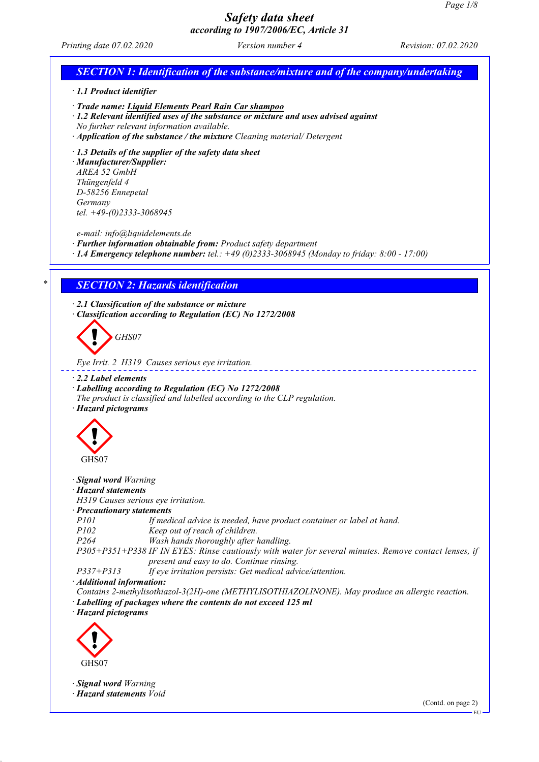EU

# *Safety data sheet according to 1907/2006/EC, Article 31*

*Printing date 07.02.2020 Version number 4 Revision: 07.02.2020*

# *SECTION 1: Identification of the substance/mixture and of the company/undertaking · 1.1 Product identifier · Trade name: Liquid Elements Pearl Rain Car shampoo · 1.2 Relevant identified uses of the substance or mixture and uses advised against No further relevant information available. · Application of the substance / the mixture Cleaning material/ Detergent · 1.3 Details of the supplier of the safety data sheet · Manufacturer/Supplier: AREA 52 GmbH Thüngenfeld 4 D-58256 Ennepetal Germany tel. +49-(0)2333-3068945 e-mail: info@liquidelements.de · Further information obtainable from: Product safety department · 1.4 Emergency telephone number: tel.: +49 (0)2333-3068945 (Monday to friday: 8:00 - 17:00) \* SECTION 2: Hazards identification · 2.1 Classification of the substance or mixture · Classification according to Regulation (EC) No 1272/2008 GHS07 Eye Irrit. 2 H319 Causes serious eye irritation. · 2.2 Label elements · Labelling according to Regulation (EC) No 1272/2008 The product is classified and labelled according to the CLP regulation. · Hazard pictograms* GHS07 *· Signal word Warning · Hazard statements H319 Causes serious eye irritation. · Precautionary statements P101 If medical advice is needed, have product container or label at hand. P102 Keep out of reach of children. P264 Wash hands thoroughly after handling. P305+P351+P338 IF IN EYES: Rinse cautiously with water for several minutes. Remove contact lenses, if present and easy to do. Continue rinsing. P337+P313 If eye irritation persists: Get medical advice/attention. · Additional information: Contains 2-methylisothiazol-3(2H)-one (METHYLISOTHIAZOLINONE). May produce an allergic reaction. · Labelling of packages where the contents do not exceed 125 ml · Hazard pictograms* GHS07 *· Signal word Warning · Hazard statements Void* (Contd. on page 2)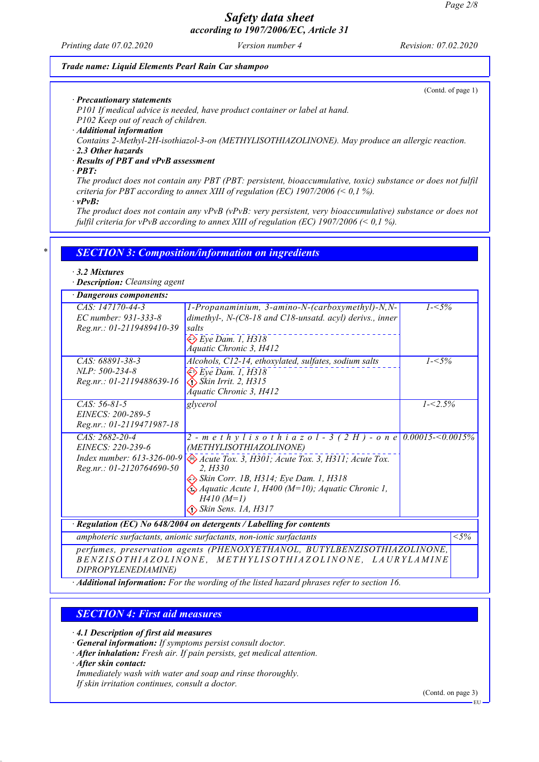*Printing date 07.02.2020 Version number 4 Revision: 07.02.2020*

#### *Trade name: Liquid Elements Pearl Rain Car shampoo*

(Contd. of page 1)

*· Precautionary statements*

*P101 If medical advice is needed, have product container or label at hand.*

*P102 Keep out of reach of children.*

*· Additional information*

*Contains 2-Methyl-2H-isothiazol-3-on (METHYLISOTHIAZOLINONE). May produce an allergic reaction.*

*· 2.3 Other hazards*

### *· Results of PBT and vPvB assessment*

*· PBT:*

*The product does not contain any PBT (PBT: persistent, bioaccumulative, toxic) substance or does not fulfil criteria for PBT according to annex XIII of regulation (EC) 1907/2006 (< 0,1 %).*

*· vPvB:*

*The product does not contain any vPvB (vPvB: very persistent, very bioaccumulative) substance or does not fulfil criteria for vPvB according to annex XIII of regulation (EC) 1907/2006 (< 0,1 %).*

## *\* SECTION 3: Composition/information on ingredients*

#### *· 3.2 Mixtures*

*· Description: Cleansing agent*

| · Dangerous components:                                                                                                                                    |                                                                                                                                                                                                                                                                                                                                      |             |                   |
|------------------------------------------------------------------------------------------------------------------------------------------------------------|--------------------------------------------------------------------------------------------------------------------------------------------------------------------------------------------------------------------------------------------------------------------------------------------------------------------------------------|-------------|-------------------|
| CAS: 147170-44-3<br>EC number: 931-333-8<br>Reg.nr.: 01-2119489410-39                                                                                      | 1-Propanaminium, 3-amino-N-(carboxymethyl)-N,N-<br>dimethyl-, $N-(C8-18$ and $C18$ -unsatd. acyl) derivs., inner<br>salts<br>$\diamondsuit$ Eye Dam. 1, H318<br>Áquatic Chronic 3, H412                                                                                                                                              | $1 - 5\%$   |                   |
| CAS: 68891-38-3<br>NLP: 500-234-8<br>Reg.nr.: 01-2119488639-16                                                                                             | Alcohols, C12-14, ethoxylated, sulfates, sodium salts<br>$\Leftrightarrow$ Eye Dam. 1, H318<br>$\diamond$ Skin Irrit. 2, H315<br>Áquatic Chronic 3, H412                                                                                                                                                                             | $1 - 5\%$   |                   |
| $CAS: 56-81-5$<br>EINECS: 200-289-5<br>Reg.nr.: 01-2119471987-18                                                                                           | glycerol                                                                                                                                                                                                                                                                                                                             | $1 - 2.5\%$ |                   |
| $CAS: 2682-20-4$<br>EINECS: 220-239-6<br>Index number: 613-326-00-9<br>Reg.nr.: 01-2120764690-50                                                           | 2 - m e t h y l i s o t h i a z o l - 3 (2 H) - o n e 0.00015-<0.0015%<br>(METHYLISOTHIAZOLINONE)<br>Acute Tox. 3, H301; Acute Tox. 3, H311; Acute Tox.<br>2. H330<br>Skin Corr. 1B, H314; Eye Dam. 1, H318<br>$\bigotimes$ Aquatic Acute 1, H400 (M=10); Aquatic Chronic 1,<br>$H410(M=1)$<br>$\Leftrightarrow$ Skin Sens. 1A, H317 |             |                   |
| $\cdot$ Regulation (EC) No 648/2004 on detergents / Labelling for contents                                                                                 |                                                                                                                                                                                                                                                                                                                                      |             |                   |
| amphoteric surfactants, anionic surfactants, non-ionic surfactants                                                                                         |                                                                                                                                                                                                                                                                                                                                      |             | $\overline{<}5\%$ |
| perfumes, preservation agents (PHENOXYETHANOL, BUTYLBENZISOTHIAZOLINONE,<br>BENZISOTHIAZOLINONE, METHYLISOTHIAZOLINONE, LAURYLAMINE<br>DIPROPYLENEDIAMINE) |                                                                                                                                                                                                                                                                                                                                      |             |                   |

*· Additional information: For the wording of the listed hazard phrases refer to section 16.*

## *SECTION 4: First aid measures*

*· 4.1 Description of first aid measures*

*· General information: If symptoms persist consult doctor.*

*· After inhalation: Fresh air. If pain persists, get medical attention.*

*· After skin contact:*

*Immediately wash with water and soap and rinse thoroughly.*

*If skin irritation continues, consult a doctor.*

(Contd. on page 3)

EU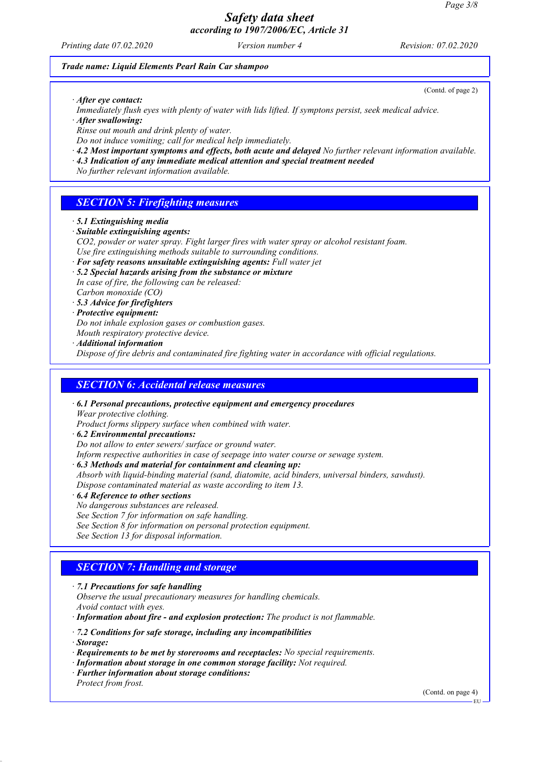*Printing date 07.02.2020 Version number 4 Revision: 07.02.2020*

(Contd. of page 2)

### *Trade name: Liquid Elements Pearl Rain Car shampoo*

*· After eye contact:*

*Immediately flush eyes with plenty of water with lids lifted. If symptons persist, seek medical advice.*

*· After swallowing:*

*Rinse out mouth and drink plenty of water.*

*Do not induce vomiting; call for medical help immediately.*

- *· 4.2 Most important symptoms and effects, both acute and delayed No further relevant information available.*
- *· 4.3 Indication of any immediate medical attention and special treatment needed*

*No further relevant information available.*

## *SECTION 5: Firefighting measures*

- *· 5.1 Extinguishing media*
- *· Suitable extinguishing agents:*
- *CO2, powder or water spray. Fight larger fires with water spray or alcohol resistant foam. Use fire extinguishing methods suitable to surrounding conditions.*
- *· For safety reasons unsuitable extinguishing agents: Full water jet*
- *· 5.2 Special hazards arising from the substance or mixture In case of fire, the following can be released: Carbon monoxide (CO)*

*· 5.3 Advice for firefighters*

*· Protective equipment:*

*Do not inhale explosion gases or combustion gases.*

*Mouth respiratory protective device.*

*· Additional information*

*Dispose of fire debris and contaminated fire fighting water in accordance with official regulations.*

## *SECTION 6: Accidental release measures*

*· 6.1 Personal precautions, protective equipment and emergency procedures Wear protective clothing.*

*Product forms slippery surface when combined with water.*

- *· 6.2 Environmental precautions:*
- *Do not allow to enter sewers/ surface or ground water.*

*Inform respective authorities in case of seepage into water course or sewage system.*

*· 6.3 Methods and material for containment and cleaning up:*

*Absorb with liquid-binding material (sand, diatomite, acid binders, universal binders, sawdust). Dispose contaminated material as waste according to item 13.*

- *· 6.4 Reference to other sections*
- *No dangerous substances are released.*

*See Section 7 for information on safe handling.*

*See Section 8 for information on personal protection equipment.*

*See Section 13 for disposal information.*

# *SECTION 7: Handling and storage*

*· 7.1 Precautions for safe handling*

*Observe the usual precautionary measures for handling chemicals. Avoid contact with eyes.*

*· Information about fire - and explosion protection: The product is not flammable.*

*· 7.2 Conditions for safe storage, including any incompatibilities*

*· Storage:*

- *· Requirements to be met by storerooms and receptacles: No special requirements.*
- *· Information about storage in one common storage facility: Not required.*
- *· Further information about storage conditions: Protect from frost.*

(Contd. on page 4)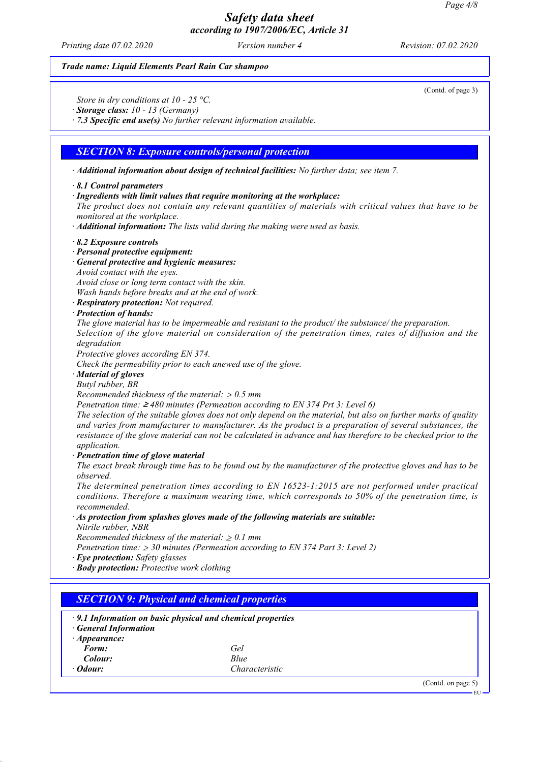*Printing date 07.02.2020 Version number 4 Revision: 07.02.2020*

#### *Trade name: Liquid Elements Pearl Rain Car shampoo*

(Contd. of page 3)

*Store in dry conditions at 10 - 25 °C.*

*· Storage class: 10 - 13 (Germany)*

*· 7.3 Specific end use(s) No further relevant information available.*

## *SECTION 8: Exposure controls/personal protection*

*· Additional information about design of technical facilities: No further data; see item 7.*

#### *· 8.1 Control parameters*

*· Ingredients with limit values that require monitoring at the workplace:*

*The product does not contain any relevant quantities of materials with critical values that have to be monitored at the workplace.*

*· Additional information: The lists valid during the making were used as basis.*

#### *· 8.2 Exposure controls*

- *· Personal protective equipment:*
- *· General protective and hygienic measures:*
- *Avoid contact with the eyes.*

*Avoid close or long term contact with the skin.*

*Wash hands before breaks and at the end of work.*

- *· Respiratory protection: Not required.*
- *· Protection of hands:*

*The glove material has to be impermeable and resistant to the product/ the substance/ the preparation. Selection of the glove material on consideration of the penetration times, rates of diffusion and the degradation*

*Protective gloves according EN 374.*

*Check the permeability prior to each anewed use of the glove.*

*· Material of gloves*

*Butyl rubber, BR*

*Recommended thickness of the material:* ≥ *0.5 mm*

*Penetration time:* ≥ *480 minutes (Permeation according to EN 374 Prt 3: Level 6)*

*The selection of the suitable gloves does not only depend on the material, but also on further marks of quality and varies from manufacturer to manufacturer. As the product is a preparation of several substances, the resistance of the glove material can not be calculated in advance and has therefore to be checked prior to the application.*

*· Penetration time of glove material*

*The exact break through time has to be found out by the manufacturer of the protective gloves and has to be observed.*

*The determined penetration times according to EN 16523-1:2015 are not performed under practical conditions. Therefore a maximum wearing time, which corresponds to 50% of the penetration time, is recommended.*

*· As protection from splashes gloves made of the following materials are suitable:*

*Nitrile rubber, NBR*

*Recommended thickness of the material:* ≥ *0.1 mm*

*Penetration time:* ≥ *30 minutes (Permeation according to EN 374 Part 3: Level 2)*

*· Eye protection: Safety glasses*

*· Body protection: Protective work clothing*

| <b>General Information</b> | $\cdot$ 9.1 Information on basic physical and chemical properties |  |
|----------------------------|-------------------------------------------------------------------|--|
| $\cdot$ Appearance:        |                                                                   |  |
| Form:                      | Gel                                                               |  |
| Colour:                    | Blue                                                              |  |
| $\cdot$ Odour:             | Characteristic                                                    |  |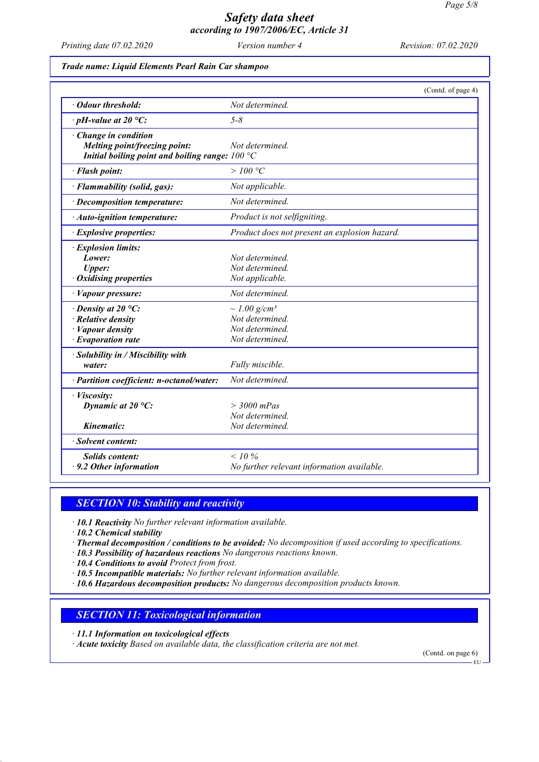*Printing date 07.02.2020 Version number 4 Revision: 07.02.2020*

### *Trade name: Liquid Elements Pearl Rain Car shampoo*

|                                                                                                                    | (Contd. of page 4)                                                                     |
|--------------------------------------------------------------------------------------------------------------------|----------------------------------------------------------------------------------------|
| · Odour threshold:                                                                                                 | Not determined.                                                                        |
| $\cdot$ pH-value at 20 °C:                                                                                         | $5 - 8$                                                                                |
| $\cdot$ Change in condition<br>Melting point/freezing point:<br>Initial boiling point and boiling range: $100 °C$  | Not determined.                                                                        |
| · Flash point:                                                                                                     | >100 °C                                                                                |
| · Flammability (solid, gas):                                                                                       | Not applicable.                                                                        |
| · Decomposition temperature:                                                                                       | Not determined.                                                                        |
| · Auto-ignition temperature:                                                                                       | Product is not selfigniting.                                                           |
| · Explosive properties:                                                                                            | Product does not present an explosion hazard.                                          |
| · Explosion limits:<br>Lower:<br><b>Upper:</b><br>· Oxidising properties                                           | Not determined.<br>Not determined.<br>Not applicable.                                  |
| · Vapour pressure:                                                                                                 | Not determined.                                                                        |
| $\cdot$ Density at 20 °C:<br>$\cdot$ Relative density<br>$\cdot$ <i>Vapour density</i><br>$\cdot$ Evaporation rate | $\sim$ 1.00 g/cm <sup>3</sup><br>Not determined.<br>Not determined.<br>Not determined. |
| · Solubility in / Miscibility with<br>water:                                                                       | Fully miscible.                                                                        |
| · Partition coefficient: n-octanol/water:                                                                          | Not determined.                                                                        |
| · Viscosity:<br>Dynamic at $20^{\circ}$ C:                                                                         | $>$ 3000 mPas<br>Not determined.                                                       |
| Kinematic:                                                                                                         | Not determined.                                                                        |
| · Solvent content:                                                                                                 |                                                                                        |
| <b>Solids content:</b><br>$\cdot$ 9.2 Other information                                                            | $< 10\%$<br>No further relevant information available.                                 |

## *SECTION 10: Stability and reactivity*

- *· 10.1 Reactivity No further relevant information available.*
- *· 10.2 Chemical stability*
- *· Thermal decomposition / conditions to be avoided: No decomposition if used according to specifications.*
- *· 10.3 Possibility of hazardous reactions No dangerous reactions known.*
- *· 10.4 Conditions to avoid Protect from frost.*
- *· 10.5 Incompatible materials: No further relevant information available.*
- *· 10.6 Hazardous decomposition products: No dangerous decomposition products known.*

## *SECTION 11: Toxicological information*

- *· 11.1 Information on toxicological effects*
- *· Acute toxicity Based on available data, the classification criteria are not met.*

(Contd. on page 6)

EU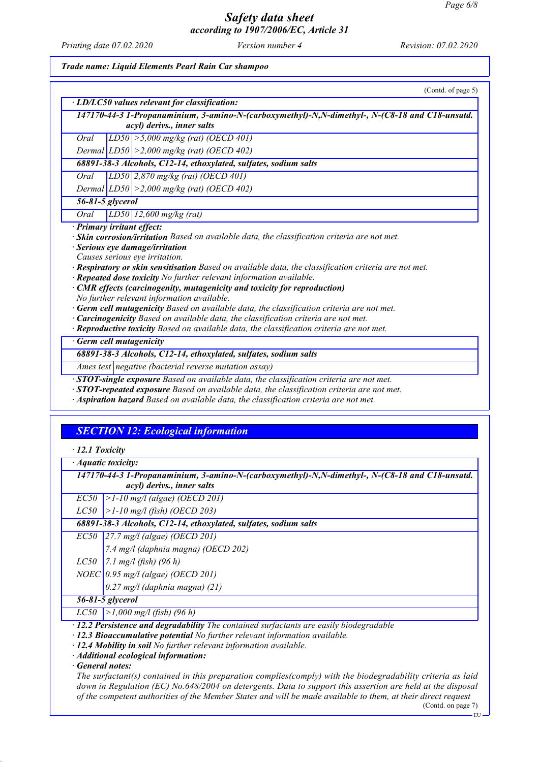*Printing date 07.02.2020 Version number 4 Revision: 07.02.2020*

*Trade name: Liquid Elements Pearl Rain Car shampoo*

| (Contd. of page 5)                                                                                  |  |  |
|-----------------------------------------------------------------------------------------------------|--|--|
| · LD/LC50 values relevant for classification:                                                       |  |  |
| 147170-44-3 1-Propanaminium, 3-amino-N-(carboxymethyl)-N,N-dimethyl-, N-(C8-18 and C18-unsatd.      |  |  |
| acyl) derivs., inner salts                                                                          |  |  |
| LD50 $\ge$ 5,000 mg/kg (rat) (OECD 401)<br>Oral                                                     |  |  |
| Dermal $ LD50  > 2,000$ mg/kg (rat) (OECD 402)                                                      |  |  |
| 68891-38-3 Alcohols, C12-14, ethoxylated, sulfates, sodium salts                                    |  |  |
| $LD50$ 2,870 mg/kg (rat) (OECD 401)<br>Oral                                                         |  |  |
| Dermal $ LD50  > 2,000$ mg/kg (rat) (OECD 402)                                                      |  |  |
| $\overline{56-81-5}$ glycerol                                                                       |  |  |
| $LD50$   12,600 mg/kg (rat)<br>Oral                                                                 |  |  |
| · Primary irritant effect:                                                                          |  |  |
| · Skin corrosion/irritation Based on available data, the classification criteria are not met.       |  |  |
| Serious eye damage/irritation                                                                       |  |  |
| Causes serious eye irritation.                                                                      |  |  |
| Respiratory or skin sensitisation Based on available data, the classification criteria are not met. |  |  |
| · Repeated dose toxicity No further relevant information available.                                 |  |  |
| · CMR effects (carcinogenity, mutagenicity and toxicity for reproduction)                           |  |  |
| No further relevant information available.                                                          |  |  |
| · Germ cell mutagenicity Based on available data, the classification criteria are not met.          |  |  |
| Carcinogenicity Based on available data, the classification criteria are not met.                   |  |  |
| · Reproductive toxicity Based on available data, the classification criteria are not met.           |  |  |
| Germ cell mutagenicity                                                                              |  |  |
| 68891-38-3 Alcohols, C12-14, ethoxylated, sulfates, sodium salts                                    |  |  |
| Ames test negative (bacterial reverse mutation assay)                                               |  |  |
| <b>STOT-single exposure</b> Based on available data, the classification criteria are not met.       |  |  |
| <b>STOT-repeated exposure</b> Based on available data, the classification criteria are not met.     |  |  |
| Aspiration hazard Based on available data, the classification criteria are not met.                 |  |  |

## *SECTION 12: Ecological information*

|  |  | $\cdot$ 12.1 Toxicity |
|--|--|-----------------------|
|--|--|-----------------------|

*· Aquatic toxicity:*

*147170-44-3 1-Propanaminium, 3-amino-N-(carboxymethyl)-N,N-dimethyl-, N-(C8-18 and C18-unsatd. acyl) derivs., inner salts*

*EC50 >1-10 mg/l (algae) (OECD 201)*

*LC50 >1-10 mg/l (fish) (OECD 203)*

*68891-38-3 Alcohols, C12-14, ethoxylated, sulfates, sodium salts*

*EC50 27.7 mg/l (algae) (OECD 201)*

*7.4 mg/l (daphnia magna) (OECD 202)*

*LC50 7.1 mg/l (fish) (96 h)*

*NOEC 0.95 mg/l (algae) (OECD 201)*

*0.27 mg/l (daphnia magna) (21)*

*56-81-5 glycerol*

*LC50 >1,000 mg/l (fish) (96 h)*

*· 12.2 Persistence and degradability The contained surfactants are easily biodegradable*

*· 12.3 Bioaccumulative potential No further relevant information available.*

*· 12.4 Mobility in soil No further relevant information available.*

*· Additional ecological information:*

*· General notes:*

*The surfactant(s) contained in this preparation complies(comply) with the biodegradability criteria as laid down in Regulation (EC) No.648/2004 on detergents. Data to support this assertion are held at the disposal of the competent authorities of the Member States and will be made available to them, at their direct request*

(Contd. on page 7)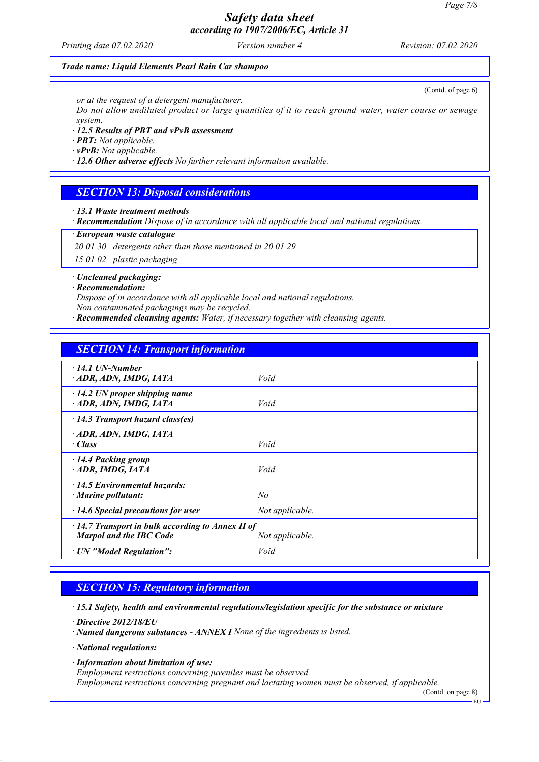*Printing date 07.02.2020 Version number 4 Revision: 07.02.2020*

(Contd. of page 6)

### *Trade name: Liquid Elements Pearl Rain Car shampoo*

*or at the request of a detergent manufacturer.*

*Do not allow undiluted product or large quantities of it to reach ground water, water course or sewage system.*

*· 12.5 Results of PBT and vPvB assessment*

*· PBT: Not applicable.*

*· vPvB: Not applicable.*

*· 12.6 Other adverse effects No further relevant information available.*

### *SECTION 13: Disposal considerations*

*· 13.1 Waste treatment methods*

*· Recommendation Dispose of in accordance with all applicable local and national regulations.*

*· European waste catalogue*

*20 01 30 detergents other than those mentioned in 20 01 29*

*15 01 02 plastic packaging*

*· Uncleaned packaging:*

*· Recommendation:*

*Dispose of in accordance with all applicable local and national regulations. Non contaminated packagings may be recycled.*

*· Recommended cleansing agents: Water, if necessary together with cleansing agents.*

## *SECTION 14: Transport information*

| Void                                                    |  |  |
|---------------------------------------------------------|--|--|
| Void                                                    |  |  |
| $\cdot$ 14.3 Transport hazard class(es)                 |  |  |
|                                                         |  |  |
| Void                                                    |  |  |
|                                                         |  |  |
| Void                                                    |  |  |
|                                                         |  |  |
| No                                                      |  |  |
| Not applicable.                                         |  |  |
| $\cdot$ 14.7 Transport in bulk according to Annex II of |  |  |
| Not applicable.                                         |  |  |
| Void                                                    |  |  |
|                                                         |  |  |

## *SECTION 15: Regulatory information*

*· 15.1 Safety, health and environmental regulations/legislation specific for the substance or mixture*

*· Directive 2012/18/EU*

*· Named dangerous substances - ANNEX I None of the ingredients is listed.*

*· National regulations:*

*· Information about limitation of use:*

*Employment restrictions concerning juveniles must be observed.*

*Employment restrictions concerning pregnant and lactating women must be observed, if applicable.*

(Contd. on page 8)

EU